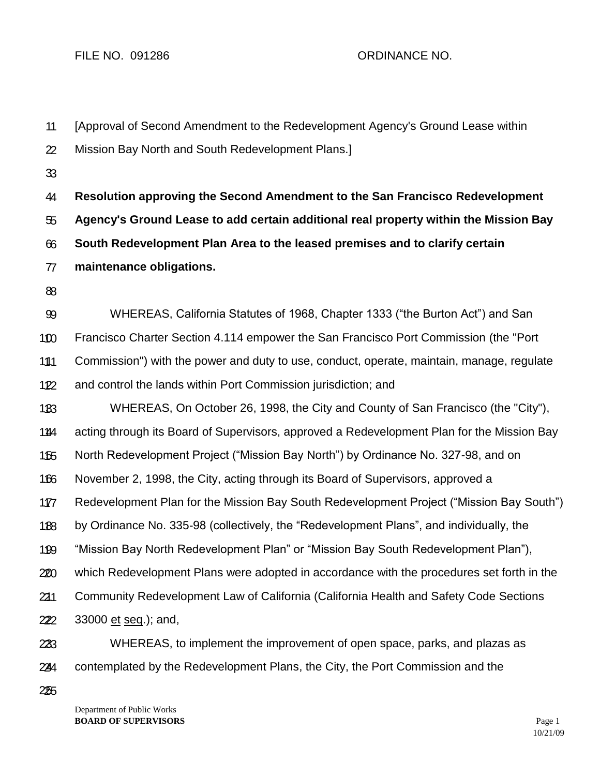1 1 2 2 3 3 4 4 5 5 6 6 7 7 8 8 9 9 10 10 11 11 12 12 13 13 14 14 15 15 16 16 17 17 18 18 19 19 20 20 21 21 22 22 23 23 24 24 [Approval of Second Amendment to the Redevelopment Agency's Ground Lease within Mission Bay North and South Redevelopment Plans.] **Resolution approving the Second Amendment to the San Francisco Redevelopment Agency's Ground Lease to add certain additional real property within the Mission Bay South Redevelopment Plan Area to the leased premises and to clarify certain maintenance obligations.** WHEREAS, California Statutes of 1968, Chapter 1333 ("the Burton Act") and San Francisco Charter Section 4.114 empower the San Francisco Port Commission (the "Port Commission") with the power and duty to use, conduct, operate, maintain, manage, regulate and control the lands within Port Commission jurisdiction; and WHEREAS, On October 26, 1998, the City and County of San Francisco (the "City"), acting through its Board of Supervisors, approved a Redevelopment Plan for the Mission Bay North Redevelopment Project ("Mission Bay North") by Ordinance No. 327-98, and on November 2, 1998, the City, acting through its Board of Supervisors, approved a Redevelopment Plan for the Mission Bay South Redevelopment Project ("Mission Bay South") by Ordinance No. 335-98 (collectively, the "Redevelopment Plans", and individually, the "Mission Bay North Redevelopment Plan" or "Mission Bay South Redevelopment Plan"), which Redevelopment Plans were adopted in accordance with the procedures set forth in the Community Redevelopment Law of California (California Health and Safety Code Sections 33000 et seq.); and, WHEREAS, to implement the improvement of open space, parks, and plazas as contemplated by the Redevelopment Plans, the City, the Port Commission and the

25 25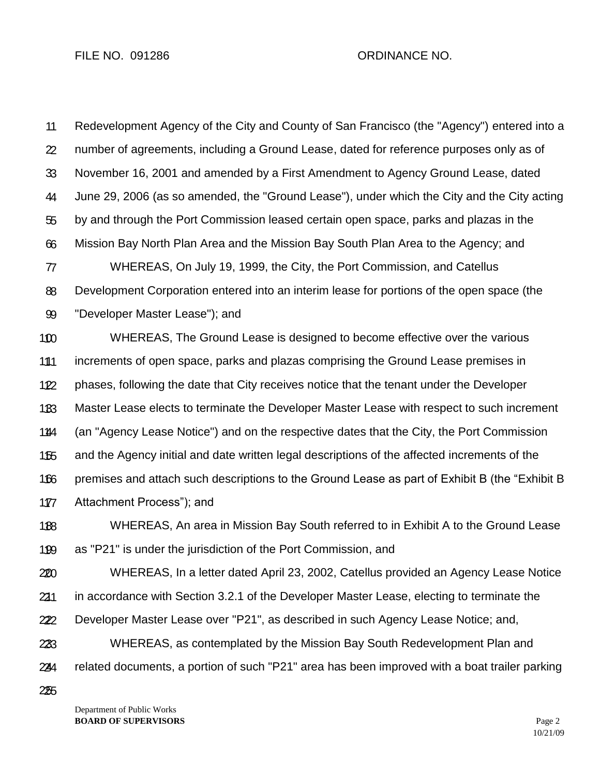1 1 2 2 3 3 4 4 5 5 6 6 7 7 8 8 9 9 10 10 11 11 12 12 13 13 14 14 15 15 16 16 Redevelopment Agency of the City and County of San Francisco (the "Agency") entered into a number of agreements, including a Ground Lease, dated for reference purposes only as of November 16, 2001 and amended by a First Amendment to Agency Ground Lease, dated June 29, 2006 (as so amended, the "Ground Lease"), under which the City and the City acting by and through the Port Commission leased certain open space, parks and plazas in the Mission Bay North Plan Area and the Mission Bay South Plan Area to the Agency; and WHEREAS, On July 19, 1999, the City, the Port Commission, and Catellus Development Corporation entered into an interim lease for portions of the open space (the "Developer Master Lease"); and WHEREAS, The Ground Lease is designed to become effective over the various increments of open space, parks and plazas comprising the Ground Lease premises in phases, following the date that City receives notice that the tenant under the Developer Master Lease elects to terminate the Developer Master Lease with respect to such increment (an "Agency Lease Notice") and on the respective dates that the City, the Port Commission and the Agency initial and date written legal descriptions of the affected increments of the premises and attach such descriptions to the Ground Lease as part of Exhibit B (the "Exhibit B

17 17 Attachment Process"); and

18 18 19 19 WHEREAS, An area in Mission Bay South referred to in Exhibit A to the Ground Lease as "P21" is under the jurisdiction of the Port Commission, and

20 20 21 21 22 22 WHEREAS, In a letter dated April 23, 2002, Catellus provided an Agency Lease Notice in accordance with Section 3.2.1 of the Developer Master Lease, electing to terminate the Developer Master Lease over "P21", as described in such Agency Lease Notice; and,

23 23 24 24 WHEREAS, as contemplated by the Mission Bay South Redevelopment Plan and related documents, a portion of such "P21" area has been improved with a boat trailer parking

25 25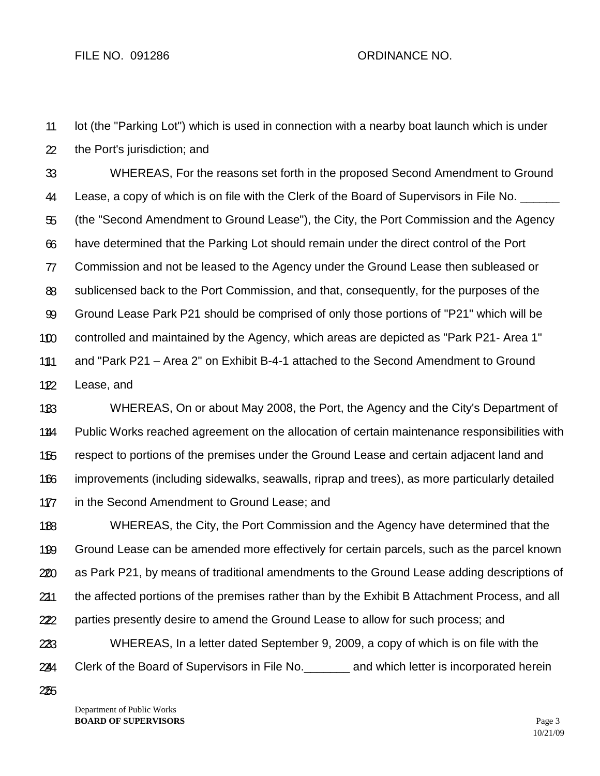1 1 lot (the "Parking Lot") which is used in connection with a nearby boat launch which is under

2 2 the Port's jurisdiction; and

3 3 4 4 5 5 6 6 7 7 8 8 9 9 10 10 11 11 12 12 WHEREAS, For the reasons set forth in the proposed Second Amendment to Ground Lease, a copy of which is on file with the Clerk of the Board of Supervisors in File No. (the "Second Amendment to Ground Lease"), the City, the Port Commission and the Agency have determined that the Parking Lot should remain under the direct control of the Port Commission and not be leased to the Agency under the Ground Lease then subleased or sublicensed back to the Port Commission, and that, consequently, for the purposes of the Ground Lease Park P21 should be comprised of only those portions of "P21" which will be controlled and maintained by the Agency, which areas are depicted as "Park P21- Area 1" and "Park P21 – Area 2" on Exhibit B-4-1 attached to the Second Amendment to Ground Lease, and

13 13 14 14 15 15 16 16 17 17 WHEREAS, On or about May 2008, the Port, the Agency and the City's Department of Public Works reached agreement on the allocation of certain maintenance responsibilities with respect to portions of the premises under the Ground Lease and certain adjacent land and improvements (including sidewalks, seawalls, riprap and trees), as more particularly detailed in the Second Amendment to Ground Lease; and

18 18 19 19 20 20 21 21 22 22 23 23 WHEREAS, the City, the Port Commission and the Agency have determined that the Ground Lease can be amended more effectively for certain parcels, such as the parcel known as Park P21, by means of traditional amendments to the Ground Lease adding descriptions of the affected portions of the premises rather than by the Exhibit B Attachment Process, and all parties presently desire to amend the Ground Lease to allow for such process; and WHEREAS, In a letter dated September 9, 2009, a copy of which is on file with the

24 24 Clerk of the Board of Supervisors in File No.\_\_\_\_\_\_\_ and which letter is incorporated herein

25 25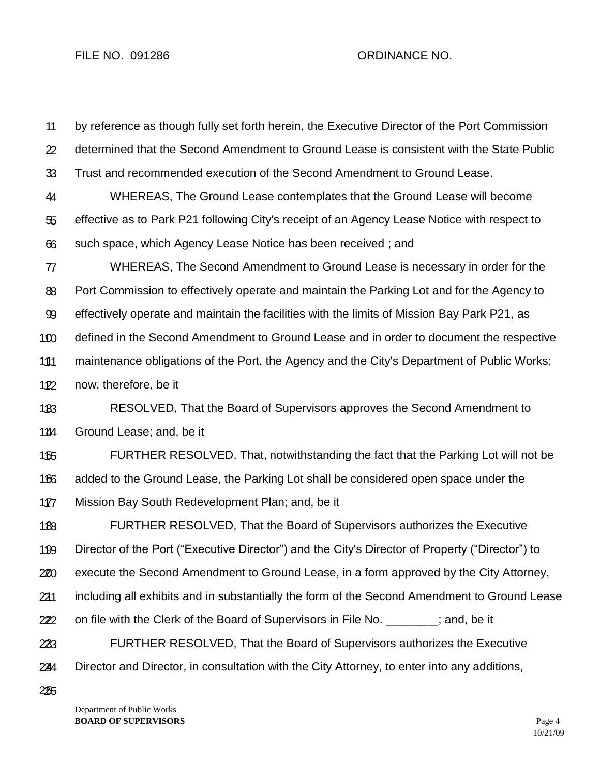1 1 2 2 3 3 4 4 5 5 6 6 7 7 8 8 9 9 10 10 11 11 12 12 13 13 14 14 15 15 16 16 17 17 18 18 19 19 20 20 21 21 22 22 23 23 24 24 by reference as though fully set forth herein, the Executive Director of the Port Commission determined that the Second Amendment to Ground Lease is consistent with the State Public Trust and recommended execution of the Second Amendment to Ground Lease. WHEREAS, The Ground Lease contemplates that the Ground Lease will become effective as to Park P21 following City's receipt of an Agency Lease Notice with respect to such space, which Agency Lease Notice has been received ; and WHEREAS, The Second Amendment to Ground Lease is necessary in order for the Port Commission to effectively operate and maintain the Parking Lot and for the Agency to effectively operate and maintain the facilities with the limits of Mission Bay Park P21, as defined in the Second Amendment to Ground Lease and in order to document the respective maintenance obligations of the Port, the Agency and the City's Department of Public Works; now, therefore, be it RESOLVED, That the Board of Supervisors approves the Second Amendment to Ground Lease; and, be it FURTHER RESOLVED, That, notwithstanding the fact that the Parking Lot will not be added to the Ground Lease, the Parking Lot shall be considered open space under the Mission Bay South Redevelopment Plan; and, be it FURTHER RESOLVED, That the Board of Supervisors authorizes the Executive Director of the Port ("Executive Director") and the City's Director of Property ("Director") to execute the Second Amendment to Ground Lease, in a form approved by the City Attorney, including all exhibits and in substantially the form of the Second Amendment to Ground Lease on file with the Clerk of the Board of Supervisors in File No.  $\qquad \qquad$  ; and, be it FURTHER RESOLVED, That the Board of Supervisors authorizes the Executive Director and Director, in consultation with the City Attorney, to enter into any additions,

25 25